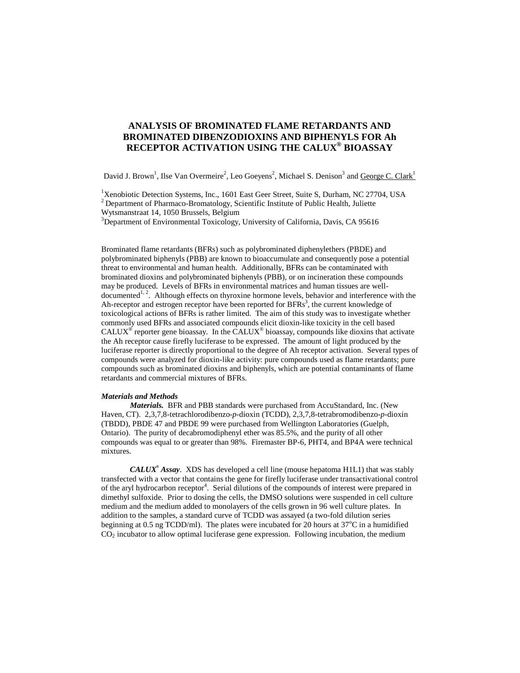# **ANALYSIS OF BROMINATED FLAME RETARDANTS AND BROMINATED DIBENZODIOXINS AND BIPHENYLS FOR Ah RECEPTOR ACTIVATION USING THE CALUX® BIOASSAY**

David J. Brown<sup>1</sup>, Ilse Van Overmeire<sup>2</sup>, Leo Goeyens<sup>2</sup>, Michael S. Denison<sup>3</sup> and <u>George C. Clark<sup>1</sup></u>

<sup>1</sup>Xenobiotic Detection Systems, Inc., 1601 East Geer Street, Suite S, Durham, NC 27704, USA <sup>2</sup> Department of Pharmaco-Bromatology, Scientific Institute of Public Health, Juliette Wytsmanstraat 14, 1050 Brussels, Belgium

<sup>3</sup>Department of Environmental Toxicology, University of California, Davis, CA 95616

Brominated flame retardants (BFRs) such as polybrominated diphenylethers (PBDE) and polybrominated biphenyls (PBB) are known to bioaccumulate and consequently pose a potential threat to environmental and human health. Additionally, BFRs can be contaminated with brominated dioxins and polybrominated biphenyls (PBB), or on incineration these compounds may be produced. Levels of BFRs in environmental matrices and human tissues are welldocumented<sup>1, 2</sup>. Although effects on thyroxine hormone levels, behavior and interference with the Ah-receptor and estrogen receptor have been reported for  $BFRs<sup>3</sup>$ , the current knowledge of toxicological actions of BFRs is rather limited. The aim of this study was to investigate whether commonly used BFRs and associated compounds elicit dioxin-like toxicity in the cell based  $CALUX^{\circ}$  reporter gene bioassay. In the  $CALUX^{\circ}$  bioassay, compounds like dioxins that activate the Ah receptor cause firefly luciferase to be expressed. The amount of light produced by the luciferase reporter is directly proportional to the degree of Ah receptor activation. Several types of compounds were analyzed for dioxin-like activity: pure compounds used as flame retardants; pure compounds such as brominated dioxins and biphenyls, which are potential contaminants of flame retardants and commercial mixtures of BFRs.

# *Materials and Methods*

*Materials.* BFR and PBB standards were purchased from AccuStandard, Inc. (New Haven, CT). 2,3,7,8-tetrachlorodibenzo-*p*-dioxin (TCDD), 2,3,7,8-tetrabromodibenzo-*p*-dioxin (TBDD), PBDE 47 and PBDE 99 were purchased from Wellington Laboratories (Guelph, Ontario). The purity of decabromodiphenyl ether was 85.5%, and the purity of all other compounds was equal to or greater than 98%. Firemaster BP-6, PHT4, and BP4A were technical mixtures.

*CALUX*®  *Assay*. XDS has developed a cell line (mouse hepatoma H1L1) that was stably transfected with a vector that contains the gene for firefly luciferase under transactivational control of the aryl hydrocarbon receptor<sup>4</sup>. Serial dilutions of the compounds of interest were prepared in dimethyl sulfoxide. Prior to dosing the cells, the DMSO solutions were suspended in cell culture medium and the medium added to monolayers of the cells grown in 96 well culture plates. In addition to the samples, a standard curve of TCDD was assayed (a two-fold dilution series beginning at 0.5 ng TCDD/ml). The plates were incubated for 20 hours at  $37^{\circ}$ C in a humidified  $CO<sub>2</sub>$  incubator to allow optimal luciferase gene expression. Following incubation, the medium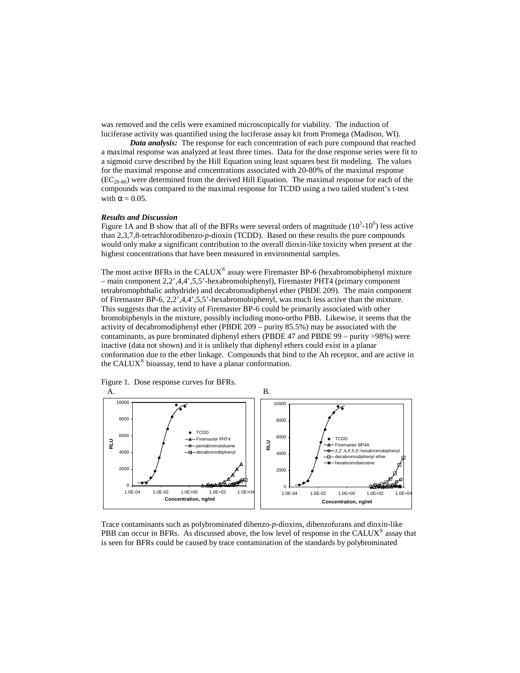was removed and the cells were examined microscopically for viability. The induction of luciferase activity was quantified using the luciferase assay kit from Promega (Madison, WI).

*Data analysis:* The response for each concentration of each pure compound that reached a maximal response was analyzed at least three times. Data for the dose response series were fit to a sigmoid curve described by the Hill Equation using least squares best fit modeling. The values for the maximal response and concentrations associated with 20-80% of the maximal response  $(EC_{20.80})$  were determined from the derived Hill Equation. The maximal response for each of the compounds was compared to the maximal response for TCDD using a two tailed student's t-test with  $\alpha = 0.05$ .

#### *Results and Discussion*

Figure 1A and B show that all of the BFRs were several orders of magnitude  $(10<sup>5</sup> \cdot 10<sup>6</sup>)$  less active than 2,3,7,8-tetrachlorodibenzo-*p*-dioxin (TCDD). Based on these results the pure compounds would only make a significant contribution to the overall dioxin-like toxicity when present at the highest concentrations that have been measured in environmental samples.

The most active BFRs in the CALUX<sup>®</sup> assay were Firemaster BP-6 (hexabromobiphenyl mixture – main component 2,2',4,4',5,5'-hexabromobiphenyl), Firemaster PHT4 (primary component tetrabromophthalic anhydride) and decabromodiphenyl ether (PBDE 209). The main component of Firemaster BP-6, 2,2',4,4',5,5'-hexabromobiphenyl, was much less active than the mixture. This suggests that the activity of Firemaster BP-6 could be primarily associated with other bromobiphenyls in the mixture, possibly including mono-ortho PBB. Likewise, it seems that the activity of decabromodiphenyl ether (PBDE 209 – purity 85.5%) may be associated with the contaminants, as pure brominated diphenyl ethers (PBDE 47 and PBDE 99 – purity >98%) were inactive (data not shown) and it is unlikely that diphenyl ethers could exist in a planar conformation due to the ether linkage. Compounds that bind to the Ah receptor, and are active in the CALUX® bioassay, tend to have a planar conformation.



Figure 1. Dose response curves for BFRs.

Trace contaminants such as polybrominated dibenzo-*p*-dioxins, dibenzofurans and dioxin-like PBB can occur in BFRs. As discussed above, the low level of response in the CALUX® assay that is seen for BFRs could be caused by trace contamination of the standards by polybrominated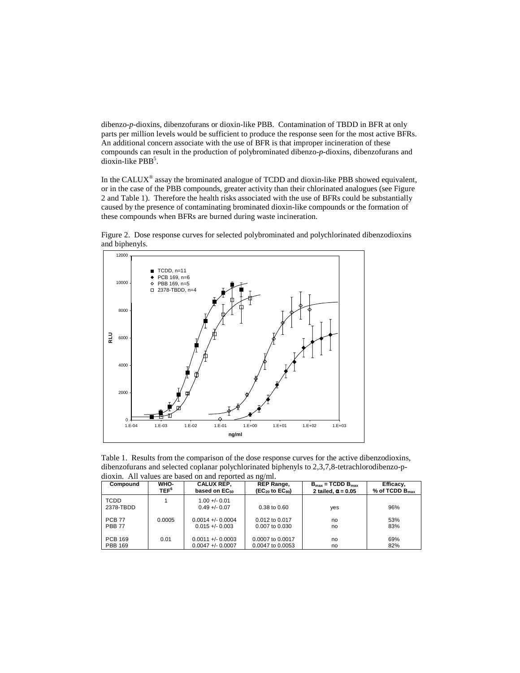dibenzo-*p*-dioxins, dibenzofurans or dioxin-like PBB. Contamination of TBDD in BFR at only parts per million levels would be sufficient to produce the response seen for the most active BFRs. An additional concern associate with the use of BFR is that improper incineration of these compounds can result in the production of polybrominated dibenzo-*p*-dioxins, dibenzofurans and  $div \overrightarrow{x}$  like PBB<sup>5</sup>.

In the CALUX<sup>®</sup> assay the brominated analogue of TCDD and dioxin-like PBB showed equivalent, or in the case of the PBB compounds, greater activity than their chlorinated analogues (see Figure 2 and Table 1). Therefore the health risks associated with the use of BFRs could be substantially caused by the presence of contaminating brominated dioxin-like compounds or the formation of these compounds when BFRs are burned during waste incineration.



Figure 2. Dose response curves for selected polybrominated and polychlorinated dibenzodioxins and biphenyls.

Table 1. Results from the comparison of the dose response curves for the active dibenzodioxins, dibenzofurans and selected coplanar polychlorinated biphenyls to 2,3,7,8-tetrachlorodibenzo-pdioxin. All values are based on and reported as ng/ml.

| Compound                 | WHO-             | <b>CALUX REP.</b>              | <b>REP Range,</b>        | $B_{\text{max}}$ = TCDD $B_{\text{max}}$ | Efficacy,           |
|--------------------------|------------------|--------------------------------|--------------------------|------------------------------------------|---------------------|
|                          | TEF <sup>6</sup> | based on EC <sub>50</sub>      | $(EC_{20}$ to $EC_{80})$ | 2 tailed, $\alpha$ = 0.05                | % of TCDD $B_{max}$ |
| <b>TCDD</b><br>2378-TBDD |                  | $1.00 + 0.01$<br>$0.49 + 0.07$ | 0.38 to 0.60             | yes                                      | 96%                 |
| <b>PCB 77</b>            | 0.0005           | $0.0014 + 0.0004$              | $0.012$ to $0.017$       | no                                       | 53%                 |
| <b>PBB 77</b>            |                  | $0.015 + (-0.003)$             | 0.007 to 0.030           | no                                       | 83%                 |
| <b>PCB 169</b>           | 0.01             | $0.0011 + (-0.0003$            | 0.0007 to 0.0017         | no                                       | 69%                 |
| <b>PBB 169</b>           |                  | $0.0047 + 0.0007$              | 0.0047 to 0.0053         | no                                       | 82%                 |